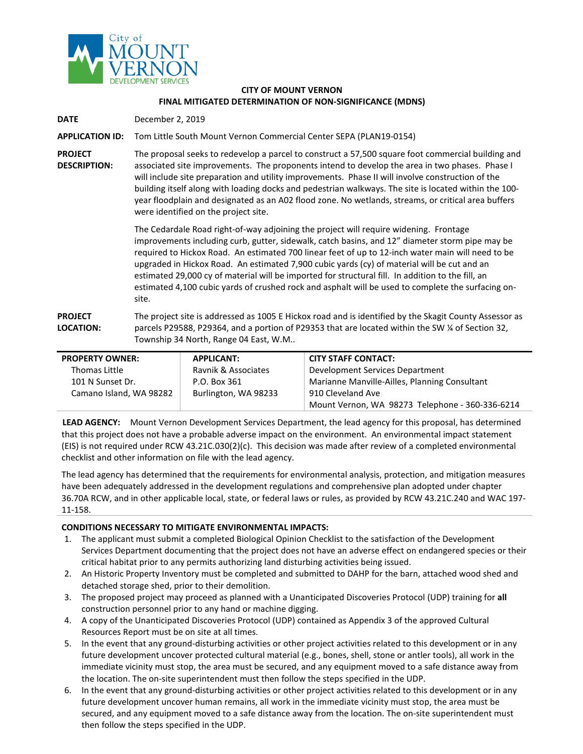

## **CITY OF MOUNT VERNON FINAL MITIGATED DETERMINATION OF NON-SIGNIFICANCE (MDNS)**

**DATE** December 2, 2019

## **APPLICATION ID:** Tom Little South Mount Vernon Commercial Center SEPA (PLAN19-0154)

**PROJECT DESCRIPTION:** The proposal seeks to redevelop a parcel to construct a 57,500 square foot commercial building and associated site improvements. The proponents intend to develop the area in two phases. Phase I will include site preparation and utility improvements. Phase II will involve construction of the building itself along with loading docks and pedestrian walkways. The site is located within the 100 year floodplain and designated as an A02 flood zone. No wetlands, streams, or critical area buffers were identified on the project site.

> The Cedardale Road right-of-way adjoining the project will require widening. Frontage improvements including curb, gutter, sidewalk, catch basins, and 12" diameter storm pipe may be required to Hickox Road. An estimated 700 linear feet of up to 12-inch water main will need to be upgraded in Hickox Road. An estimated 7,900 cubic yards (cy) of material will be cut and an estimated 29,000 cy of material will be imported for structural fill. In addition to the fill, an estimated 4,100 cubic yards of crushed rock and asphalt will be used to complete the surfacing onsite.

## **PROJECT LOCATION:** The project site is addressed as 1005 E Hickox road and is identified by the Skagit County Assessor as parcels P29588, P29364, and a portion of P29353 that are located within the SW ¼ of Section 32, Township 34 North, Range 04 East, W.M..

| <b>PROPERTY OWNER:</b>  | APPLICANT:           | <b>CITY STAFF CONTACT:</b>                      |
|-------------------------|----------------------|-------------------------------------------------|
| Thomas Little           | Ravnik & Associates  | Development Services Department                 |
| 101 N Sunset Dr.        | P.O. Box 361         | Marianne Manville-Ailles, Planning Consultant   |
| Camano Island, WA 98282 | Burlington, WA 98233 | 910 Cleveland Ave                               |
|                         |                      | Mount Vernon, WA 98273 Telephone - 360-336-6214 |

**LEAD AGENCY:** Mount Vernon Development Services Department, the lead agency for this proposal, has determined that this project does not have a probable adverse impact on the environment. An environmental impact statement (EIS) is not required under RCW 43.21C.030(2)(c). This decision was made after review of a completed environmental checklist and other information on file with the lead agency.

The lead agency has determined that the requirements for environmental analysis, protection, and mitigation measures have been adequately addressed in the development regulations and comprehensive plan adopted under chapter 36.70A RCW, and in other applicable local, state, or federal laws or rules, as provided by RCW 43.21C.240 and WAC 197- 11-158.

## **CONDITIONS NECESSARY TO MITIGATE ENVIRONMENTAL IMPACTS:**

- 1. The applicant must submit a completed Biological Opinion Checklist to the satisfaction of the Development Services Department documenting that the project does not have an adverse effect on endangered species or their critical habitat prior to any permits authorizing land disturbing activities being issued.
- 2. An Historic Property Inventory must be completed and submitted to DAHP for the barn, attached wood shed and detached storage shed, prior to their demolition.
- 3. The proposed project may proceed as planned with a Unanticipated Discoveries Protocol (UDP) training for **all**  construction personnel prior to any hand or machine digging.
- 4. A copy of the Unanticipated Discoveries Protocol (UDP) contained as Appendix 3 of the approved Cultural Resources Report must be on site at all times.
- 5. In the event that any ground-disturbing activities or other project activities related to this development or in any future development uncover protected cultural material (e.g., bones, shell, stone or antler tools), all work in the immediate vicinity must stop, the area must be secured, and any equipment moved to a safe distance away from the location. The on-site superintendent must then follow the steps specified in the UDP.
- 6. In the event that any ground-disturbing activities or other project activities related to this development or in any future development uncover human remains, all work in the immediate vicinity must stop, the area must be secured, and any equipment moved to a safe distance away from the location. The on-site superintendent must then follow the steps specified in the UDP.